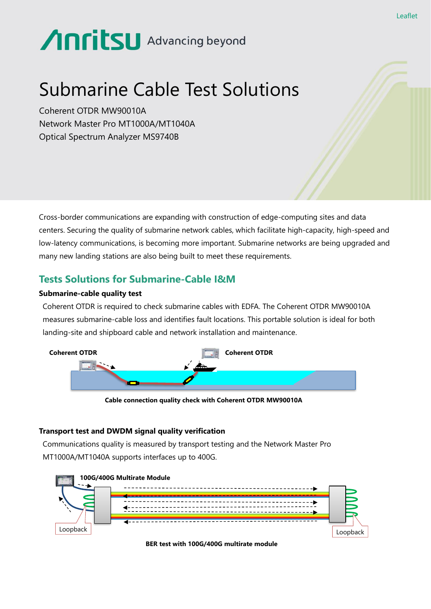# Anritsu Advancing beyond

# Submarine Cable Test Solutions

Coherent OTDR MW90010A Network Master Pro MT1000A/MT1040A Optical Spectrum Analyzer MS9740B

Cross-border communications are expanding with construction of edge-computing sites and data centers. Securing the quality of submarine network cables, which facilitate high-capacity, high-speed and low-latency communications, is becoming more important. Submarine networks are being upgraded and many new landing stations are also being built to meet these requirements.

## **Tests Solutions for Submarine-Cable I&M**

#### **Submarine-cable quality test**

Coherent OTDR is required to check submarine cables with EDFA. The Coherent OTDR MW90010A measures submarine-cable loss and identifies fault locations. This portable solution is ideal for both landing-site and shipboard cable and network installation and maintenance.



**Cable connection quality check with Coherent OTDR MW90010A**

#### **Transport test and DWDM signal quality verification**

Communications quality is measured by transport testing and the Network Master Pro MT1000A/MT1040A supports interfaces up to 400G.